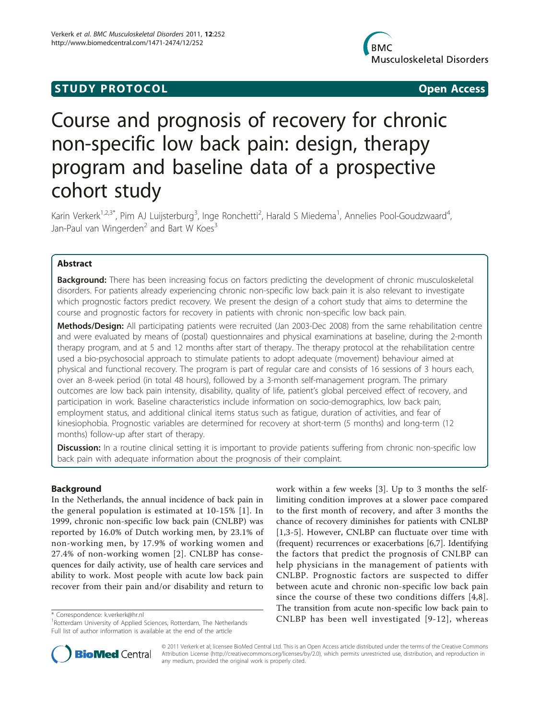# **STUDY PROTOCOL** And the state of the state of the state of the state of the state of the state of the state of the state of the state of the state of the state of the state of the state of the state of the state of the st



# Course and prognosis of recovery for chronic non-specific low back pain: design, therapy program and baseline data of a prospective cohort study

Karin Verkerk<sup>1,2,3\*</sup>, Pim AJ Luijsterburg<sup>3</sup>, Inge Ronchetti<sup>2</sup>, Harald S Miedema<sup>1</sup>, Annelies Pool-Goudzwaard<sup>4</sup> , Jan-Paul van Wingerden<sup>2</sup> and Bart W Koes<sup>3</sup>

# Abstract

Background: There has been increasing focus on factors predicting the development of chronic musculoskeletal disorders. For patients already experiencing chronic non-specific low back pain it is also relevant to investigate which prognostic factors predict recovery. We present the design of a cohort study that aims to determine the course and prognostic factors for recovery in patients with chronic non-specific low back pain.

Methods/Design: All participating patients were recruited (Jan 2003-Dec 2008) from the same rehabilitation centre and were evaluated by means of (postal) questionnaires and physical examinations at baseline, during the 2-month therapy program, and at 5 and 12 months after start of therapy. The therapy protocol at the rehabilitation centre used a bio-psychosocial approach to stimulate patients to adopt adequate (movement) behaviour aimed at physical and functional recovery. The program is part of regular care and consists of 16 sessions of 3 hours each, over an 8-week period (in total 48 hours), followed by a 3-month self-management program. The primary outcomes are low back pain intensity, disability, quality of life, patient's global perceived effect of recovery, and participation in work. Baseline characteristics include information on socio-demographics, low back pain, employment status, and additional clinical items status such as fatigue, duration of activities, and fear of kinesiophobia. Prognostic variables are determined for recovery at short-term (5 months) and long-term (12 months) follow-up after start of therapy.

**Discussion:** In a routine clinical setting it is important to provide patients suffering from chronic non-specific low back pain with adequate information about the prognosis of their complaint.

# Background

In the Netherlands, the annual incidence of back pain in the general population is estimated at 10-15% [[1](#page-7-0)]. In 1999, chronic non-specific low back pain (CNLBP) was reported by 16.0% of Dutch working men, by 23.1% of non-working men, by 17.9% of working women and 27.4% of non-working women [[2\]](#page-7-0). CNLBP has consequences for daily activity, use of health care services and ability to work. Most people with acute low back pain recover from their pain and/or disability and return to

work within a few weeks [[3\]](#page-7-0). Up to 3 months the selflimiting condition improves at a slower pace compared to the first month of recovery, and after 3 months the chance of recovery diminishes for patients with CNLBP [[1,3-5](#page-7-0)]. However, CNLBP can fluctuate over time with (frequent) recurrences or exacerbations [[6,7\]](#page-7-0). Identifying the factors that predict the prognosis of CNLBP can help physicians in the management of patients with CNLBP. Prognostic factors are suspected to differ between acute and chronic non-specific low back pain since the course of these two conditions differs [[4](#page-7-0),[8](#page-7-0)]. The transition from acute non-specific low back pain to \* Correspondence: kverkerk@hr.nl<br><sup>1</sup>Pottordam University of Applied Sciences Pottordam The Notborlands **\* CONLBP** has been well investigated [[9](#page-7-0)-[12](#page-7-0)], whereas



© 2011 Verkerk et al; licensee BioMed Central Ltd. This is an Open Access article distributed under the terms of the Creative Commons Attribution License [\(http://creativecommons.org/licenses/by/2.0](http://creativecommons.org/licenses/by/2.0)), which permits unrestricted use, distribution, and reproduction in any medium, provided the original work is properly cited.

<sup>&</sup>lt;sup>1</sup> Rotterdam University of Applied Sciences, Rotterdam, The Netherlands Full list of author information is available at the end of the article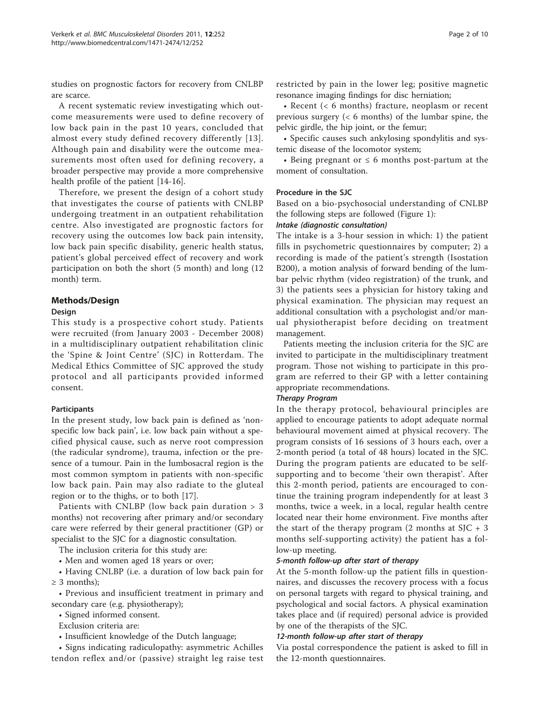studies on prognostic factors for recovery from CNLBP are scarce.

A recent systematic review investigating which outcome measurements were used to define recovery of low back pain in the past 10 years, concluded that almost every study defined recovery differently [[13\]](#page-7-0). Although pain and disability were the outcome measurements most often used for defining recovery, a broader perspective may provide a more comprehensive health profile of the patient [\[14](#page-7-0)-[16](#page-7-0)].

Therefore, we present the design of a cohort study that investigates the course of patients with CNLBP undergoing treatment in an outpatient rehabilitation centre. Also investigated are prognostic factors for recovery using the outcomes low back pain intensity, low back pain specific disability, generic health status, patient's global perceived effect of recovery and work participation on both the short (5 month) and long (12 month) term.

# Methods/Design

### Design

This study is a prospective cohort study. Patients were recruited (from January 2003 - December 2008) in a multidisciplinary outpatient rehabilitation clinic the 'Spine & Joint Centre' (SJC) in Rotterdam. The Medical Ethics Committee of SJC approved the study protocol and all participants provided informed consent.

# **Participants**

In the present study, low back pain is defined as 'nonspecific low back pain', i.e. low back pain without a specified physical cause, such as nerve root compression (the radicular syndrome), trauma, infection or the presence of a tumour. Pain in the lumbosacral region is the most common symptom in patients with non-specific low back pain. Pain may also radiate to the gluteal region or to the thighs, or to both [[17\]](#page-7-0).

Patients with CNLBP (low back pain duration > 3 months) not recovering after primary and/or secondary care were referred by their general practitioner (GP) or specialist to the SJC for a diagnostic consultation.

The inclusion criteria for this study are:

• Men and women aged 18 years or over;

• Having CNLBP (i.e. a duration of low back pain for  $\geq$  3 months);

• Previous and insufficient treatment in primary and secondary care (e.g. physiotherapy);

• Signed informed consent.

Exclusion criteria are:

• Insufficient knowledge of the Dutch language;

• Signs indicating radiculopathy: asymmetric Achilles tendon reflex and/or (passive) straight leg raise test restricted by pain in the lower leg; positive magnetic resonance imaging findings for disc herniation;

• Recent (< 6 months) fracture, neoplasm or recent previous surgery  $(< 6$  months) of the lumbar spine, the pelvic girdle, the hip joint, or the femur;

• Specific causes such ankylosing spondylitis and systemic disease of the locomotor system;

• Being pregnant or  $\leq 6$  months post-partum at the moment of consultation.

### Procedure in the SJC

Based on a bio-psychosocial understanding of CNLBP the following steps are followed (Figure [1](#page-2-0)):

#### Intake (diagnostic consultation)

The intake is a 3-hour session in which: 1) the patient fills in psychometric questionnaires by computer; 2) a recording is made of the patient's strength (Isostation B200), a motion analysis of forward bending of the lumbar pelvic rhythm (video registration) of the trunk, and 3) the patients sees a physician for history taking and physical examination. The physician may request an additional consultation with a psychologist and/or manual physiotherapist before deciding on treatment management.

Patients meeting the inclusion criteria for the SJC are invited to participate in the multidisciplinary treatment program. Those not wishing to participate in this program are referred to their GP with a letter containing appropriate recommendations.

#### Therapy Program

In the therapy protocol, behavioural principles are applied to encourage patients to adopt adequate normal behavioural movement aimed at physical recovery. The program consists of 16 sessions of 3 hours each, over a 2-month period (a total of 48 hours) located in the SJC. During the program patients are educated to be selfsupporting and to become 'their own therapist'. After this 2-month period, patients are encouraged to continue the training program independently for at least 3 months, twice a week, in a local, regular health centre located near their home environment. Five months after the start of the therapy program  $(2 \text{ months at } S)C + 3$ months self-supporting activity) the patient has a follow-up meeting.

#### 5-month follow-up after start of therapy

At the 5-month follow-up the patient fills in questionnaires, and discusses the recovery process with a focus on personal targets with regard to physical training, and psychological and social factors. A physical examination takes place and (if required) personal advice is provided by one of the therapists of the SJC.

#### 12-month follow-up after start of therapy

Via postal correspondence the patient is asked to fill in the 12-month questionnaires.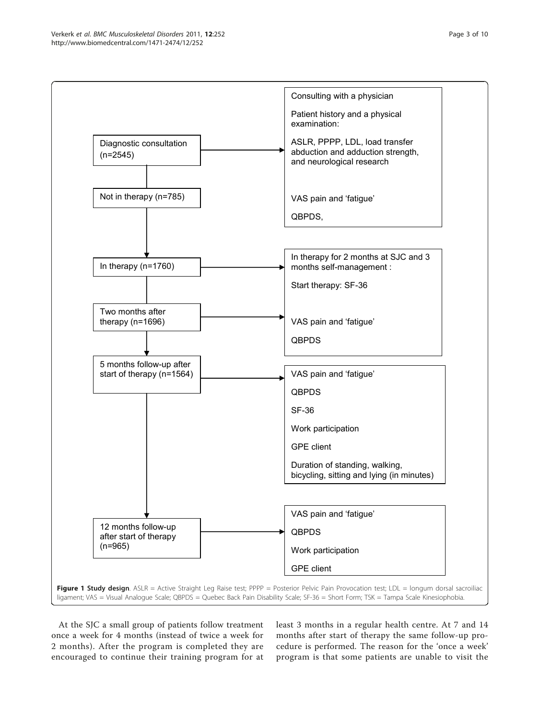<span id="page-2-0"></span>

At the SJC a small group of patients follow treatment once a week for 4 months (instead of twice a week for 2 months). After the program is completed they are encouraged to continue their training program for at

least 3 months in a regular health centre. At 7 and 14 months after start of therapy the same follow-up procedure is performed. The reason for the 'once a week' program is that some patients are unable to visit the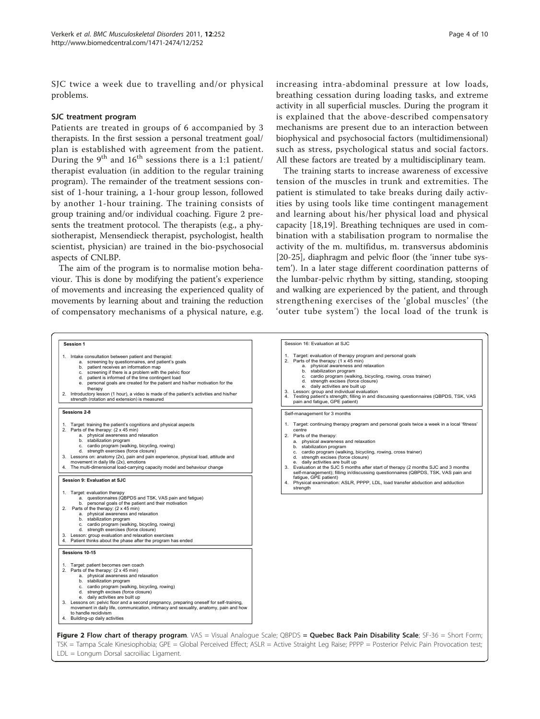SJC twice a week due to travelling and/or physical problems.

#### SJC treatment program

Patients are treated in groups of 6 accompanied by 3 therapists. In the first session a personal treatment goal/ plan is established with agreement from the patient. During the 9<sup>th</sup> and  $16^{th}$  sessions there is a 1:1 patient/ therapist evaluation (in addition to the regular training program). The remainder of the treatment sessions consist of 1-hour training, a 1-hour group lesson, followed by another 1-hour training. The training consists of group training and/or individual coaching. Figure 2 presents the treatment protocol. The therapists (e.g., a physiotherapist, Mensendieck therapist, psychologist, health scientist, physician) are trained in the bio-psychosocial aspects of CNLBP.

The aim of the program is to normalise motion behaviour. This is done by modifying the patient's experience of movements and increasing the experienced quality of movements by learning about and training the reduction of compensatory mechanisms of a physical nature, e.g. increasing intra-abdominal pressure at low loads, breathing cessation during loading tasks, and extreme activity in all superficial muscles. During the program it is explained that the above-described compensatory mechanisms are present due to an interaction between biophysical and psychosocial factors (multidimensional) such as stress, psychological status and social factors. All these factors are treated by a multidisciplinary team.

The training starts to increase awareness of excessive tension of the muscles in trunk and extremities. The patient is stimulated to take breaks during daily activities by using tools like time contingent management and learning about his/her physical load and physical capacity [[18,19\]](#page-8-0). Breathing techniques are used in combination with a stabilisation program to normalise the activity of the m. multifidus, m. transversus abdominis [[20-25](#page-8-0)], diaphragm and pelvic floor (the 'inner tube system'). In a later stage different coordination patterns of the lumbar-pelvic rhythm by sitting, standing, stooping and walking are experienced by the patient, and through strengthening exercises of the 'global muscles' (the 'outer tube system') the local load of the trunk is



LDL = Longum Dorsal sacroiliac Ligament.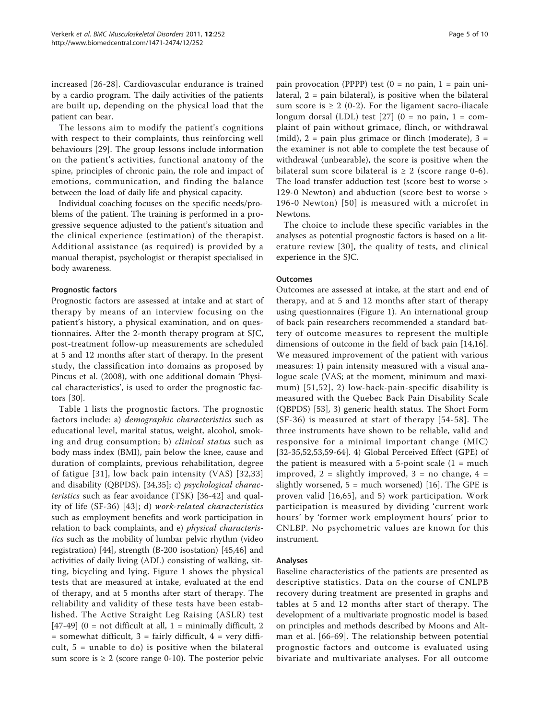increased [\[26](#page-8-0)-[28](#page-8-0)]. Cardiovascular endurance is trained by a cardio program. The daily activities of the patients are built up, depending on the physical load that the patient can bear.

The lessons aim to modify the patient's cognitions with respect to their complaints, thus reinforcing well behaviours [\[29](#page-8-0)]. The group lessons include information on the patient's activities, functional anatomy of the spine, principles of chronic pain, the role and impact of emotions, communication, and finding the balance between the load of daily life and physical capacity.

Individual coaching focuses on the specific needs/problems of the patient. The training is performed in a progressive sequence adjusted to the patient's situation and the clinical experience (estimation) of the therapist. Additional assistance (as required) is provided by a manual therapist, psychologist or therapist specialised in body awareness.

### Prognostic factors

Prognostic factors are assessed at intake and at start of therapy by means of an interview focusing on the patient's history, a physical examination, and on questionnaires. After the 2-month therapy program at SJC, post-treatment follow-up measurements are scheduled at 5 and 12 months after start of therapy. In the present study, the classification into domains as proposed by Pincus et al. (2008), with one additional domain 'Physical characteristics', is used to order the prognostic factors [[30](#page-8-0)].

Table [1](#page-5-0) lists the prognostic factors. The prognostic factors include: a) demographic characteristics such as educational level, marital status, weight, alcohol, smoking and drug consumption; b) clinical status such as body mass index (BMI), pain below the knee, cause and duration of complaints, previous rehabilitation, degree of fatigue [[31\]](#page-8-0), low back pain intensity (VAS) [[32,33](#page-8-0)] and disability (QBPDS). [[34](#page-8-0),[35](#page-8-0)]; c) psychological characteristics such as fear avoidance (TSK) [\[36](#page-8-0)-[42\]](#page-8-0) and quality of life (SF-36) [[43](#page-8-0)]; d) work-related characteristics such as employment benefits and work participation in relation to back complaints, and e) physical characteristics such as the mobility of lumbar pelvic rhythm (video registration) [[44\]](#page-8-0), strength (B-200 isostation) [\[45,46](#page-8-0)] and activities of daily living (ADL) consisting of walking, sitting, bicycling and lying. Figure [1](#page-2-0) shows the physical tests that are measured at intake, evaluated at the end of therapy, and at 5 months after start of therapy. The reliability and validity of these tests have been established. The Active Straight Leg Raising (ASLR) test [[47-49\]](#page-8-0) (0 = not difficult at all, 1 = minimally difficult, 2  $=$  somewhat difficult,  $3 =$  fairly difficult,  $4 =$  very difficult,  $5 =$  unable to do) is positive when the bilateral sum score is  $\geq 2$  (score range 0-10). The posterior pelvic

pain provocation (PPPP) test  $(0 = no \, pain, 1 = pain \, uni$ lateral, 2 = pain bilateral), is positive when the bilateral sum score is  $\geq 2$  (0-2). For the ligament sacro-iliacale longum dorsal (LDL) test [\[27\]](#page-8-0) (0 = no pain, 1 = complaint of pain without grimace, flinch, or withdrawal (mild),  $2 =$  pain plus grimace or flinch (moderate),  $3 =$ the examiner is not able to complete the test because of withdrawal (unbearable), the score is positive when the bilateral sum score bilateral is  $\geq 2$  (score range 0-6). The load transfer adduction test (score best to worse > 129-0 Newton) and abduction (score best to worse > 196-0 Newton) [[50\]](#page-8-0) is measured with a microfet in Newtons.

The choice to include these specific variables in the analyses as potential prognostic factors is based on a literature review [[30\]](#page-8-0), the quality of tests, and clinical experience in the SJC.

### **Outcomes**

Outcomes are assessed at intake, at the start and end of therapy, and at 5 and 12 months after start of therapy using questionnaires (Figure [1](#page-2-0)). An international group of back pain researchers recommended a standard battery of outcome measures to represent the multiple dimensions of outcome in the field of back pain [\[14,16](#page-7-0)]. We measured improvement of the patient with various measures: 1) pain intensity measured with a visual analogue scale (VAS; at the moment, minimum and maximum) [[51,52\]](#page-8-0), 2) low-back-pain-specific disability is measured with the Quebec Back Pain Disability Scale (QBPDS) [\[53](#page-8-0)], 3) generic health status. The Short Form (SF-36) is measured at start of therapy [[54](#page-8-0)-[58\]](#page-8-0). The three instruments have shown to be reliable, valid and responsive for a minimal important change (MIC) [[32-35](#page-8-0),[52,53,59-](#page-8-0)[64](#page-9-0)]. 4) Global Perceived Effect (GPE) of the patient is measured with a 5-point scale  $(1 = much)$ improved,  $2 =$  slightly improved,  $3 =$  no change,  $4 =$ slightly worsened,  $5 =$  much worsened) [[16\]](#page-7-0). The GPE is proven valid [[16](#page-7-0),[65](#page-9-0)], and 5) work participation. Work participation is measured by dividing 'current work hours' by 'former work employment hours' prior to CNLBP. No psychometric values are known for this instrument.

#### Analyses

Baseline characteristics of the patients are presented as descriptive statistics. Data on the course of CNLPB recovery during treatment are presented in graphs and tables at 5 and 12 months after start of therapy. The development of a multivariate prognostic model is based on principles and methods described by Moons and Altman et al. [[66](#page-9-0)-[69\]](#page-9-0). The relationship between potential prognostic factors and outcome is evaluated using bivariate and multivariate analyses. For all outcome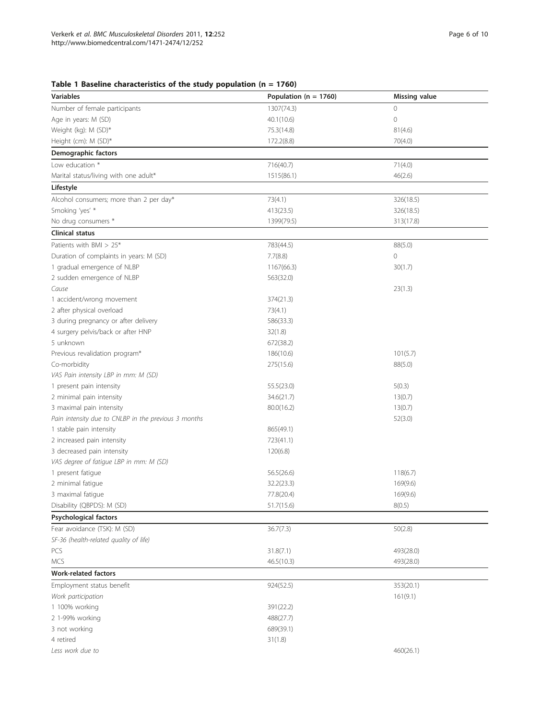<span id="page-5-0"></span>Table 1 Baseline characteristics of the study population (n = 1760)

| <b>Variables</b>                                     | Population ( $n = 1760$ ) | <b>Missing value</b> |  |  |
|------------------------------------------------------|---------------------------|----------------------|--|--|
| Number of female participants                        | 1307(74.3)                | 0                    |  |  |
| Age in years: M (SD)                                 | 40.1(10.6)                | $\circledcirc$       |  |  |
| Weight (kg): M (SD)*                                 | 75.3(14.8)                | 81(4.6)              |  |  |
| Height (cm): M (SD)*                                 | 172.2(8.8)                | 70(4.0)              |  |  |
| Demographic factors                                  |                           |                      |  |  |
| Low education *                                      | 716(40.7)                 | 71(4.0)              |  |  |
| Marital status/living with one adult*                | 1515(86.1)                | 46(2.6)              |  |  |
| Lifestyle                                            |                           |                      |  |  |
| Alcohol consumers; more than 2 per day*              | 73(4.1)                   | 326(18.5)            |  |  |
| Smoking 'yes' *                                      | 413(23.5)                 | 326(18.5)            |  |  |
| No drug consumers *                                  | 1399(79.5)                | 313(17.8)            |  |  |
| <b>Clinical status</b>                               |                           |                      |  |  |
| Patients with BMI > 25*                              | 783(44.5)                 | 88(5.0)              |  |  |
| Duration of complaints in years: M (SD)              | 7.7(8.8)                  | 0                    |  |  |
| 1 gradual emergence of NLBP                          | 1167(66.3)                | 30(1.7)              |  |  |
| 2 sudden emergence of NLBP                           | 563(32.0)                 |                      |  |  |
| Cause                                                |                           | 23(1.3)              |  |  |
| 1 accident/wrong movement                            | 374(21.3)                 |                      |  |  |
| 2 after physical overload                            | 73(4.1)                   |                      |  |  |
| 3 during pregnancy or after delivery                 | 586(33.3)                 |                      |  |  |
| 4 surgery pelvis/back or after HNP                   | 32(1.8)                   |                      |  |  |
| 5 unknown                                            | 672(38.2)                 |                      |  |  |
| Previous revalidation program*                       | 186(10.6)                 | 101(5.7)             |  |  |
| Co-morbidity                                         | 275(15.6)                 | 88(5.0)              |  |  |
| VAS Pain intensity LBP in mm: M (SD)                 |                           |                      |  |  |
| 1 present pain intensity                             | 55.5(23.0)                | 5(0.3)               |  |  |
| 2 minimal pain intensity                             | 34.6(21.7)                | 13(0.7)              |  |  |
| 3 maximal pain intensity                             | 80.0(16.2)                | 13(0.7)              |  |  |
| Pain intensity due to CNLBP in the previous 3 months |                           | 52(3.0)              |  |  |
| 1 stable pain intensity                              | 865(49.1)                 |                      |  |  |
| 2 increased pain intensity                           | 723(41.1)                 |                      |  |  |
| 3 decreased pain intensity                           | 120(6.8)                  |                      |  |  |
| VAS degree of fatigue LBP in mm: M (SD)              |                           |                      |  |  |
| 1 present fatigue                                    | 56.5(26.6)                | 118(6.7)             |  |  |
| 2 minimal fatigue                                    | 32.2(23.3)                | 169(9.6)             |  |  |
| 3 maximal fatique                                    | 77.8(20.4)                | 169(9.6)             |  |  |
| Disability (QBPDS): M (SD)                           | 51.7(15.6)                | 8(0.5)               |  |  |
| <b>Psychological factors</b>                         |                           |                      |  |  |
| Fear avoidance (TSK): M (SD)                         | 36.7(7.3)                 | 50(2.8)              |  |  |
| SF-36 (health-related quality of life)               |                           |                      |  |  |
| PCS                                                  | 31.8(7.1)                 | 493(28.0)            |  |  |
| <b>MCS</b>                                           | 46.5(10.3)                | 493(28.0)            |  |  |
| <b>Work-related factors</b>                          |                           |                      |  |  |
| Employment status benefit                            | 924(52.5)                 | 353(20.1)            |  |  |
| Work participation                                   |                           | 161(9.1)             |  |  |
| 1 100% working                                       | 391(22.2)                 |                      |  |  |
| 2 1-99% working                                      | 488(27.7)                 |                      |  |  |
| 3 not working                                        | 689(39.1)                 |                      |  |  |
| 4 retired                                            | 31(1.8)                   |                      |  |  |
| Less work due to                                     |                           | 460(26.1)            |  |  |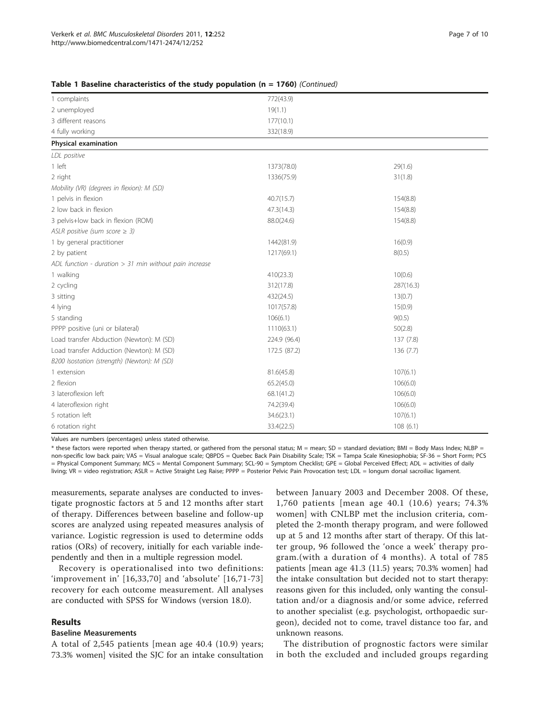| 1 complaints                                             | 772(43.9)    |           |
|----------------------------------------------------------|--------------|-----------|
| 2 unemployed                                             | 19(1.1)      |           |
| 3 different reasons                                      | 177(10.1)    |           |
| 4 fully working                                          | 332(18.9)    |           |
| Physical examination                                     |              |           |
| LDL positive                                             |              |           |
| 1 left                                                   | 1373(78.0)   | 29(1.6)   |
| 2 right                                                  | 1336(75.9)   | 31(1.8)   |
| Mobility (VR) (degrees in flexion): M (SD)               |              |           |
| 1 pelvis in flexion                                      | 40.7(15.7)   | 154(8.8)  |
| 2 low back in flexion                                    | 47.3(14.3)   | 154(8.8)  |
| 3 pelvis+low back in flexion (ROM)                       | 88.0(24.6)   | 154(8.8)  |
| ASLR positive (sum score $\geq$ 3)                       |              |           |
| 1 by general practitioner                                | 1442(81.9)   | 16(0.9)   |
| 2 by patient                                             | 1217(69.1)   | 8(0.5)    |
| ADL function - duration $> 31$ min without pain increase |              |           |
| 1 walking                                                | 410(23.3)    | 10(0.6)   |
| 2 cycling                                                | 312(17.8)    | 287(16.3) |
| 3 sitting                                                | 432(24.5)    | 13(0.7)   |
| 4 lying                                                  | 1017(57.8)   | 15(0.9)   |
| 5 standing                                               | 106(6.1)     | 9(0.5)    |
| PPPP positive (uni or bilateral)                         | 1110(63.1)   | 50(2.8)   |
| Load transfer Abduction (Newton): M (SD)                 | 224.9 (96.4) | 137 (7.8) |
| Load transfer Adduction (Newton): M (SD)                 | 172.5 (87.2) | 136(7.7)  |
| B200 Isostation (strength) (Newton): M (SD)              |              |           |
| 1 extension                                              | 81.6(45.8)   | 107(6.1)  |
| 2 flexion                                                | 65.2(45.0)   | 106(6.0)  |
| 3 lateroflexion left                                     | 68.1(41.2)   | 106(6.0)  |
| 4 lateroflexion right                                    | 74.2(39.4)   | 106(6.0)  |
| 5 rotation left                                          | 34.6(23.1)   | 107(6.1)  |
| 6 rotation right                                         | 33.4(22.5)   | 108(6.1)  |

|  |  | Table 1 Baseline characteristics of the study population (n = 1760) (Continued) |  |  |  |  |  |  |
|--|--|---------------------------------------------------------------------------------|--|--|--|--|--|--|
|--|--|---------------------------------------------------------------------------------|--|--|--|--|--|--|

Values are numbers (percentages) unless stated otherwise.

\* these factors were reported when therapy started, or gathered from the personal status; M = mean; SD = standard deviation; BMI = Body Mass Index; NLBP = non-specific low back pain; VAS = Visual analogue scale; QBPDS = Quebec Back Pain Disability Scale; TSK = Tampa Scale Kinesiophobia; SF-36 = Short Form; PCS = Physical Component Summary; MCS = Mental Component Summary; SCL-90 = Symptom Checklist; GPE = Global Perceived Effect; ADL = activities of daily living; VR = video registration; ASLR = Active Straight Leg Raise; PPPP = Posterior Pelvic Pain Provocation test; LDL = longum dorsal sacroiliac ligament.

measurements, separate analyses are conducted to investigate prognostic factors at 5 and 12 months after start of therapy. Differences between baseline and follow-up scores are analyzed using repeated measures analysis of variance. Logistic regression is used to determine odds ratios (ORs) of recovery, initially for each variable independently and then in a multiple regression model.

Recovery is operationalised into two definitions: 'improvement in' [[16](#page-7-0),[33](#page-8-0),[70](#page-9-0)] and 'absolute' [[16](#page-7-0),[71](#page-9-0)-[73](#page-9-0)] recovery for each outcome measurement. All analyses are conducted with SPSS for Windows (version 18.0).

# Results

#### Baseline Measurements

A total of 2,545 patients [mean age 40.4 (10.9) years; 73.3% women] visited the SJC for an intake consultation between January 2003 and December 2008. Of these, 1,760 patients [mean age 40.1 (10.6) years; 74.3% women] with CNLBP met the inclusion criteria, completed the 2-month therapy program, and were followed up at 5 and 12 months after start of therapy. Of this latter group, 96 followed the 'once a week' therapy program.(with a duration of 4 months). A total of 785 patients [mean age 41.3 (11.5) years; 70.3% women] had the intake consultation but decided not to start therapy: reasons given for this included, only wanting the consultation and/or a diagnosis and/or some advice, referred to another specialist (e.g. psychologist, orthopaedic surgeon), decided not to come, travel distance too far, and unknown reasons.

The distribution of prognostic factors were similar in both the excluded and included groups regarding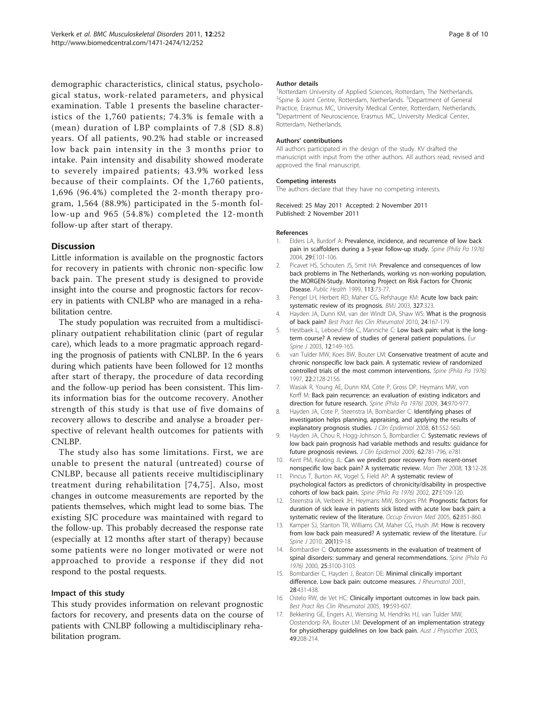<span id="page-7-0"></span>demographic characteristics, clinical status, psychological status, work-related parameters, and physical examination. Table [1](#page-5-0) presents the baseline characteristics of the 1,760 patients; 74.3% is female with a (mean) duration of LBP complaints of 7.8 (SD 8.8) years. Of all patients, 90.2% had stable or increased low back pain intensity in the 3 months prior to intake. Pain intensity and disability showed moderate to severely impaired patients; 43.9% worked less because of their complaints. Of the 1,760 patients, 1,696 (96.4%) completed the 2-month therapy program, 1,564 (88.9%) participated in the 5-month follow-up and 965 (54.8%) completed the 12-month follow-up after start of therapy.

# **Discussion**

Little information is available on the prognostic factors for recovery in patients with chronic non-specific low back pain. The present study is designed to provide insight into the course and prognostic factors for recovery in patients with CNLBP who are managed in a rehabilitation centre.

The study population was recruited from a multidisciplinary outpatient rehabilitation clinic (part of regular care), which leads to a more pragmatic approach regarding the prognosis of patients with CNLBP. In the 6 years during which patients have been followed for 12 months after start of therapy, the procedure of data recording and the follow-up period has been consistent. This limits information bias for the outcome recovery. Another strength of this study is that use of five domains of recovery allows to describe and analyse a broader perspective of relevant health outcomes for patients with CNLBP.

The study also has some limitations. First, we are unable to present the natural (untreated) course of CNLBP, because all patients receive multidisciplinary treatment during rehabilitation [[74](#page-9-0),[75\]](#page-9-0). Also, most changes in outcome measurements are reported by the patients themselves, which might lead to some bias. The existing SJC procedure was maintained with regard to the follow-up. This probably decreased the response rate (especially at 12 months after start of therapy) because some patients were no longer motivated or were not approached to provide a response if they did not respond to the postal requests.

# Impact of this study

This study provides information on relevant prognostic factors for recovery, and presents data on the course of patients with CNLBP following a multidisciplinary rehabilitation program.

#### Author details

<sup>1</sup>Rotterdam University of Applied Sciences, Rotterdam, The Netherlands. <sup>2</sup>Spine & Joint Centre, Rotterdam, Netherlands. <sup>3</sup>Department of General Practice, Erasmus MC, University Medical Center, Rotterdam, Netherlands. 4 Department of Neuroscience, Erasmus MC, University Medical Center, Rotterdam, Netherlands.

#### Authors' contributions

All authors participated in the design of the study. KV drafted the manuscript with input from the other authors. All authors read, revised and approved the final manuscript.

#### Competing interests

The authors declare that they have no competing interests.

Received: 25 May 2011 Accepted: 2 November 2011 Published: 2 November 2011

#### References

- 1. Elders LA, Burdorf A: Prevalence, incidence, and recurrence of low back pain in scaffolders during a 3-year follow-up study. Spine (Phila Pa 1976) 2004, 29:E101-106.
- 2. Picavet HS, Schouten JS, Smit HA: [Prevalence and consequences of low](http://www.ncbi.nlm.nih.gov/pubmed/10355306?dopt=Abstract) [back problems in The Netherlands, working vs non-working population,](http://www.ncbi.nlm.nih.gov/pubmed/10355306?dopt=Abstract) [the MORGEN-Study. Monitoring Project on Risk Factors for Chronic](http://www.ncbi.nlm.nih.gov/pubmed/10355306?dopt=Abstract) [Disease.](http://www.ncbi.nlm.nih.gov/pubmed/10355306?dopt=Abstract) Public Health 1999, 113:73-77.
- 3. Pengel LH, Herbert RD, Maher CG, Refshauge KM: [Acute low back pain:](http://www.ncbi.nlm.nih.gov/pubmed/12907487?dopt=Abstract) [systematic review of its prognosis.](http://www.ncbi.nlm.nih.gov/pubmed/12907487?dopt=Abstract) BMJ 2003, 327:323.
- 4. Hayden JA, Dunn KM, van der Windt DA, Shaw WS: [What is the prognosis](http://www.ncbi.nlm.nih.gov/pubmed/20227639?dopt=Abstract) [of back pain?](http://www.ncbi.nlm.nih.gov/pubmed/20227639?dopt=Abstract) Best Pract Res Clin Rheumatol 2010, 24:167-179.
- 5. Hestbaek L, Leboeuf-Yde C, Manniche C: [Low back pain: what is the long](http://www.ncbi.nlm.nih.gov/pubmed/12709853?dopt=Abstract)[term course? A review of studies of general patient populations.](http://www.ncbi.nlm.nih.gov/pubmed/12709853?dopt=Abstract) Eur Spine J 2003, 12:149-165.
- 6. van Tulder MW, Koes BW, Bouter LM: Conservative treatment of acute and chronic nonspecific low back pain. A systematic review of randomized controlled trials of the most common interventions. Spine (Phila Pa 1976) 1997, 22:2128-2156.
- 7. Wasiak R, Young AE, Dunn KM, Cote P, Gross DP, Heymans MW, von Korff M: Back pain recurrence: an evaluation of existing indicators and direction for future research. Spine (Phila Pa 1976) 2009, 34:970-977.
- 8. Hayden JA, Cote P, Steenstra IA, Bombardier C: [Identifying phases of](http://www.ncbi.nlm.nih.gov/pubmed/18471659?dopt=Abstract) [investigation helps planning, appraising, and applying the results of](http://www.ncbi.nlm.nih.gov/pubmed/18471659?dopt=Abstract) [explanatory prognosis studies.](http://www.ncbi.nlm.nih.gov/pubmed/18471659?dopt=Abstract) J Clin Epidemiol 2008, 61:552-560.
- 9. Hayden JA, Chou R, Hogg-Johnson S, Bombardier C: [Systematic reviews of](http://www.ncbi.nlm.nih.gov/pubmed/19136234?dopt=Abstract) [low back pain prognosis had variable methods and results: guidance for](http://www.ncbi.nlm.nih.gov/pubmed/19136234?dopt=Abstract) [future prognosis reviews.](http://www.ncbi.nlm.nih.gov/pubmed/19136234?dopt=Abstract) J Clin Epidemiol 2009, 62:781-796, e781.
- 10. Kent PM, Keating JL: [Can we predict poor recovery from recent-onset](http://www.ncbi.nlm.nih.gov/pubmed/17658288?dopt=Abstract) [nonspecific low back pain? A systematic review.](http://www.ncbi.nlm.nih.gov/pubmed/17658288?dopt=Abstract) Man Ther 2008, 13:12-28.
- 11. Pincus T, Burton AK, Vogel S, Field AP: A systematic review of psychological factors as predictors of chronicity/disability in prospective cohorts of low back pain. Spine (Phila Pa 1976) 2002, 27:E109-120.
- 12. Steenstra IA, Verbeek JH, Heymans MW, Bongers PM: [Prognostic factors for](http://www.ncbi.nlm.nih.gov/pubmed/16299094?dopt=Abstract) [duration of sick leave in patients sick listed with acute low back pain: a](http://www.ncbi.nlm.nih.gov/pubmed/16299094?dopt=Abstract) [systematic review of the literature.](http://www.ncbi.nlm.nih.gov/pubmed/16299094?dopt=Abstract) Occup Environ Med 2005, 62:851-860.
- 13. Kamper SJ, Stanton TR, Williams CM, Maher CG, Hush JM: [How is recovery](http://www.ncbi.nlm.nih.gov/pubmed/20552378?dopt=Abstract) [from low back pain measured? A systematic review of the literature.](http://www.ncbi.nlm.nih.gov/pubmed/20552378?dopt=Abstract) Eur Spine J 2010, 20(1):9-18.
- 14. Bombardier C: Outcome assessments in the evaluation of treatment of spinal disorders: summary and general recommendations. Spine (Phila Pa 1976) 2000, 25:3100-3103.
- 15. Bombardier C, Hayden J, Beaton DE: [Minimal clinically important](http://www.ncbi.nlm.nih.gov/pubmed/11246692?dopt=Abstract) [difference. Low back pain: outcome measures.](http://www.ncbi.nlm.nih.gov/pubmed/11246692?dopt=Abstract) J Rheumatol 2001, 28:431-438.
- 16. Ostelo RW, de Vet HC: [Clinically important outcomes in low back pain.](http://www.ncbi.nlm.nih.gov/pubmed/15949778?dopt=Abstract) Best Pract Res Clin Rheumatol 2005, 19:593-607.
- 17. Bekkering GE, Engers AJ, Wensing M, Hendriks HJ, van Tulder MW, Oostendorp RA, Bouter LM: [Development of an implementation strategy](http://www.ncbi.nlm.nih.gov/pubmed/12952520?dopt=Abstract) [for physiotherapy guidelines on low back pain.](http://www.ncbi.nlm.nih.gov/pubmed/12952520?dopt=Abstract) Aust J Physiother 2003, 49:208-214.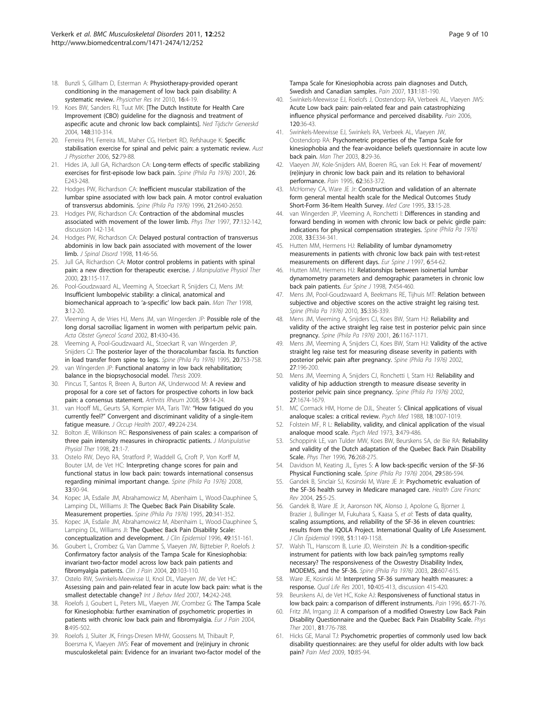- <span id="page-8-0"></span>18. Bunzli S, Gillham D, Esterman A: Physiotherapy-provided operant conditioning in the management of low back pain disability: A systematic review. Physiother Res Int 2010, 16:4-19.
- 19. Koes BW, Sanders RJ, Tuut MK: [\[The Dutch Institute for Health Care](http://www.ncbi.nlm.nih.gov/pubmed/15015247?dopt=Abstract) [Improvement \(CBO\) guideline for the diagnosis and treatment of](http://www.ncbi.nlm.nih.gov/pubmed/15015247?dopt=Abstract) [aspecific acute and chronic low back complaints\].](http://www.ncbi.nlm.nih.gov/pubmed/15015247?dopt=Abstract) Ned Tijdschr Geneeskd 2004, 148:310-314.
- 20. Ferreira PH, Ferreira ML, Maher CG, Herbert RD, Refshauge K: [Specific](http://www.ncbi.nlm.nih.gov/pubmed/16764545?dopt=Abstract) [stabilisation exercise for spinal and pelvic pain: a systematic review.](http://www.ncbi.nlm.nih.gov/pubmed/16764545?dopt=Abstract) Aust J Physiother 2006, 52:79-88.
- 21. Hides JA, Jull GA, Richardson CA: Long-term effects of specific stabilizing exercises for first-episode low back pain. Spine (Phila Pa 1976) 2001, 26: E243-248.
- 22. Hodges PW, Richardson CA: Inefficient muscular stabilization of the lumbar spine associated with low back pain. A motor control evaluation of transversus abdominis. Spine (Phila Pa 1976) 1996, 21:2640-2650.
- 23. Hodges PW, Richardson CA: [Contraction of the abdominal muscles](http://www.ncbi.nlm.nih.gov/pubmed/9037214?dopt=Abstract) [associated with movement of the lower limb.](http://www.ncbi.nlm.nih.gov/pubmed/9037214?dopt=Abstract) Phys Ther 1997, 77:132-142, discussion 142-134.
- 24. Hodges PW, Richardson CA: [Delayed postural contraction of transversus](http://www.ncbi.nlm.nih.gov/pubmed/9493770?dopt=Abstract) [abdominis in low back pain associated with movement of the lower](http://www.ncbi.nlm.nih.gov/pubmed/9493770?dopt=Abstract) [limb.](http://www.ncbi.nlm.nih.gov/pubmed/9493770?dopt=Abstract) J Spinal Disord 1998, 11:46-56.
- 25. Jull GA, Richardson CA: [Motor control problems in patients with spinal](http://www.ncbi.nlm.nih.gov/pubmed/10714539?dopt=Abstract) [pain: a new direction for therapeutic exercise.](http://www.ncbi.nlm.nih.gov/pubmed/10714539?dopt=Abstract) J Manipulative Physiol Ther 2000, 23:115-117.
- 26. Pool-Goudzwaard AL, Vleeming A, Stoeckart R, Snijders CJ, Mens JM: [Insufficient lumbopelvic stability: a clinical, anatomical and](http://www.ncbi.nlm.nih.gov/pubmed/11487296?dopt=Abstract) [biomechanical approach to](http://www.ncbi.nlm.nih.gov/pubmed/11487296?dopt=Abstract) 'a-specific' low back pain. Man Ther 1998, 3:12-20.
- 27. Vleeming A, de Vries HJ, Mens JM, van Wingerden JP: [Possible role of the](http://www.ncbi.nlm.nih.gov/pubmed/12027817?dopt=Abstract) [long dorsal sacroiliac ligament in women with peripartum pelvic pain.](http://www.ncbi.nlm.nih.gov/pubmed/12027817?dopt=Abstract) Acta Obstet Gynecol Scand 2002, 81:430-436.
- 28. Vleeming A, Pool-Goudzwaard AL, Stoeckart R, van Wingerden JP, Snijders CJ: The posterior layer of the thoracolumbar fascia. Its function in load transfer from spine to legs. Spine (Phila Pa 1976) 1995, 20:753-758.
- 29. van Wingerden JP: Functional anatomy in low back rehabilitation; balance in the biopsychosocial model. Thesis 2009.
- 30. Pincus T, Santos R, Breen A, Burton AK, Underwood M: [A review and](http://www.ncbi.nlm.nih.gov/pubmed/18163411?dopt=Abstract) [proposal for a core set of factors for prospective cohorts in low back](http://www.ncbi.nlm.nih.gov/pubmed/18163411?dopt=Abstract) [pain: a consensus statement.](http://www.ncbi.nlm.nih.gov/pubmed/18163411?dopt=Abstract) Arthritis Rheum 2008, 59:14-24.
- 31. van Hooff ML, Geurts SA, Kompier MA, Taris TW: "[How fatigued do you](http://www.ncbi.nlm.nih.gov/pubmed/17575403?dopt=Abstract) currently feel?" Convergent [and discriminant validity of a single-item](http://www.ncbi.nlm.nih.gov/pubmed/17575403?dopt=Abstract) fatique measure. J Occup Health 2007, 49:224-234.
- 32. Bolton JE, Wilkinson RC: [Responsiveness of pain scales: a comparison of](http://www.ncbi.nlm.nih.gov/pubmed/9467094?dopt=Abstract) [three pain intensity measures in chiropractic patients.](http://www.ncbi.nlm.nih.gov/pubmed/9467094?dopt=Abstract) J Manipulative Physiol Ther 1998, 21:1-7.
- 33. Ostelo RW, Deyo RA, Stratford P, Waddell G, Croft P, Von Korff M, Bouter LM, de Vet HC: Interpreting change scores for pain and functional status in low back pain: towards international consensus regarding minimal important change. Spine (Phila Pa 1976) 2008, 33:90-94.
- 34. Kopec JA, Esdaile JM, Abrahamowicz M, Abenhaim L, Wood-Dauphinee S, Lamping DL, Williams JI: The Quebec Back Pain Disability Scale. Measurement properties. Spine (Phila Pa 1976) 1995, 20:341-352.
- 35. Kopec JA, Esdaile JM, Abrahamowicz M, Abenhaim L, Wood-Dauphinee S, Lamping DL, Williams JI: [The Quebec Back Pain Disability Scale:](http://www.ncbi.nlm.nih.gov/pubmed/8606316?dopt=Abstract) [conceptualization and development.](http://www.ncbi.nlm.nih.gov/pubmed/8606316?dopt=Abstract) J Clin Epidemiol 1996, 49:151-161.
- 36. Goubert L, Crombez G, Van Damme S, Vlaeyen JW, Bijttebier P, Roelofs J: [Confirmatory factor analysis of the Tampa Scale for Kinesiophobia:](http://www.ncbi.nlm.nih.gov/pubmed/14770050?dopt=Abstract) [invariant two-factor model across low back pain patients and](http://www.ncbi.nlm.nih.gov/pubmed/14770050?dopt=Abstract) [fibromyalgia patients.](http://www.ncbi.nlm.nih.gov/pubmed/14770050?dopt=Abstract) Clin J Pain 2004, 20:103-110.
- 37. Ostelo RW, Swinkels-Meewisse IJ, Knol DL, Vlaeyen JW, de Vet HC: [Assessing pain and pain-related fear in acute low back pain: what is the](http://www.ncbi.nlm.nih.gov/pubmed/18001240?dopt=Abstract) [smallest detectable change?](http://www.ncbi.nlm.nih.gov/pubmed/18001240?dopt=Abstract) Int J Behav Med 2007, 14:242-248.
- 38. Roelofs J, Goubert L, Peters ML, Vlaeyen JW, Crombez G: [The Tampa Scale](http://www.ncbi.nlm.nih.gov/pubmed/15324781?dopt=Abstract) [for Kinesiophobia: further examination of psychometric properties in](http://www.ncbi.nlm.nih.gov/pubmed/15324781?dopt=Abstract) [patients with chronic low back pain and fibromyalgia.](http://www.ncbi.nlm.nih.gov/pubmed/15324781?dopt=Abstract) Eur J Pain 2004, 8:495-502.
- 39. Roelofs J, Sluiter JK, Frings-Dresen MHW, Goossens M, Thibault P, Boersma K, Vlaeyen JWS: [Fear of movement and \(re\)injury in chronic](http://www.ncbi.nlm.nih.gov/pubmed/17317011?dopt=Abstract) [musculoskeletal pain: Evidence for an invariant two-factor model of the](http://www.ncbi.nlm.nih.gov/pubmed/17317011?dopt=Abstract)

[Tampa Scale for Kinesiophobia across pain diagnoses and Dutch,](http://www.ncbi.nlm.nih.gov/pubmed/17317011?dopt=Abstract) [Swedish and Canadian samples.](http://www.ncbi.nlm.nih.gov/pubmed/17317011?dopt=Abstract) Pain 2007, 131:181-190.

- 40. Swinkels-Meewisse EJ, Roelofs J, Oostendorp RA, Verbeek AL, Vlaeyen JWS: [Acute Low back pain: pain-related fear and pain catastrophizing](http://www.ncbi.nlm.nih.gov/pubmed/16359797?dopt=Abstract) [influence physical performance and perceived disability.](http://www.ncbi.nlm.nih.gov/pubmed/16359797?dopt=Abstract) Pain 2006, 120:36-43.
- 41. Swinkels-Meewisse EJ, Swinkels RA, Verbeek AL, Vlaeyen JW, Oostendorp RA: [Psychometric properties of the Tampa Scale for](http://www.ncbi.nlm.nih.gov/pubmed/12586559?dopt=Abstract) [kinesiophobia and the fear-avoidance beliefs questionnaire in acute low](http://www.ncbi.nlm.nih.gov/pubmed/12586559?dopt=Abstract) [back pain.](http://www.ncbi.nlm.nih.gov/pubmed/12586559?dopt=Abstract) Man Ther 2003, 8:29-36.
- 42. Vlaeyen JW, Kole-Snijders AM, Boeren RG, van Eek H: [Fear of movement/](http://www.ncbi.nlm.nih.gov/pubmed/8657437?dopt=Abstract) [\(re\)injury in chronic low back pain and its relation to behavioral](http://www.ncbi.nlm.nih.gov/pubmed/8657437?dopt=Abstract) [performance.](http://www.ncbi.nlm.nih.gov/pubmed/8657437?dopt=Abstract) Pain 1995, 62:363-372.
- 43. McHorney CA, Ware JE Jr: [Construction and validation of an alternate](http://www.ncbi.nlm.nih.gov/pubmed/7823644?dopt=Abstract) [form general mental health scale for the Medical Outcomes Study](http://www.ncbi.nlm.nih.gov/pubmed/7823644?dopt=Abstract) [Short-Form 36-Item Health Survey.](http://www.ncbi.nlm.nih.gov/pubmed/7823644?dopt=Abstract) Med Care 1995, 33:15-28.
- 44. van Wingerden JP, Vleeming A, Ronchetti I: Differences in standing and forward bending in women with chronic low back or pelvic girdle pain: indications for physical compensation strategies. Spine (Phila Pa 1976) 2008, 33:E334-341.
- 45. Hutten MM, Hermens HJ: [Reliability of lumbar dynamometry](http://www.ncbi.nlm.nih.gov/pubmed/9093828?dopt=Abstract) [measurements in patients with chronic low back pain with test-retest](http://www.ncbi.nlm.nih.gov/pubmed/9093828?dopt=Abstract) [measurements on different days.](http://www.ncbi.nlm.nih.gov/pubmed/9093828?dopt=Abstract) Eur Spine J 1997, 6:54-62.
- 46. Hutten MM, Hermens HJ: [Relationships between isoinertial lumbar](http://www.ncbi.nlm.nih.gov/pubmed/9883954?dopt=Abstract) [dynamometry parameters and demographic parameters in chronic low](http://www.ncbi.nlm.nih.gov/pubmed/9883954?dopt=Abstract) [back pain patients.](http://www.ncbi.nlm.nih.gov/pubmed/9883954?dopt=Abstract) Eur Spine J 1998, 7:454-460.
- 47. Mens JM, Pool-Goudzwaard A, Beekmans RE, Tijhuis MT: Relation between subjective and objective scores on the active straight leg raising test. Spine (Phila Pa 1976) 2010, 35:336-339.
- 48. Mens JM, Vleeming A, Snijders CJ, Koes BW, Stam HJ: Reliability and validity of the active straight leg raise test in posterior pelvic pain since pregnancy. Spine (Phila Pa 1976) 2001, 26:1167-1171.
- 49. Mens JM, Vleeming A, Snijders CJ, Koes BW, Stam HJ: Validity of the active straight leg raise test for measuring disease severity in patients with posterior pelvic pain after pregnancy. Spine (Phila Pa 1976) 2002, 27:196-200.
- 50. Mens JM, Vleeming A, Snijders CJ, Ronchetti I, Stam HJ: Reliability and validity of hip adduction strength to measure disease severity in posterior pelvic pain since pregnancy. Spine (Phila Pa 1976) 2002, 27:1674-1679.
- 51. MC Cormack HM, Horne de DJL, Sheater S: Clinical applications of visual analoque scales: a critical review. Psych Med 1988, 18:1007-1019
- 52. Folstein MF, R L: Reliability, validity, and clinical application of the visual analoque mood scale. Psych Med 1973, 3:479-486.
- 53. Schoppink LE, van Tulder MW, Koes BW, Beurskens SA, de Bie RA: [Reliability](http://www.ncbi.nlm.nih.gov/pubmed/8602412?dopt=Abstract) [and validity of the Dutch adaptation of the Quebec Back Pain Disability](http://www.ncbi.nlm.nih.gov/pubmed/8602412?dopt=Abstract) [Scale.](http://www.ncbi.nlm.nih.gov/pubmed/8602412?dopt=Abstract) Phys Ther 1996, 76:268-275.
- 54. Davidson M, Keating JL, Eyres S: A low back-specific version of the SF-36 Physical Functioning scale. Spine (Phila Pa 1976) 2004, 29:586-594.
- 55. Gandek B, Sinclair SJ, Kosinski M, Ware JE Jr: [Psychometric evaluation of](http://www.ncbi.nlm.nih.gov/pubmed/15493441?dopt=Abstract) [the SF-36 health survey in Medicare managed care.](http://www.ncbi.nlm.nih.gov/pubmed/15493441?dopt=Abstract) Health Care Financ Rev 2004, 25:5-25.
- 56. Gandek B, Ware JE Jr, Aaronson NK, Alonso J, Apolone G, Bjorner J, Brazier J, Bullinger M, Fukuhara S, Kaasa S, et al: [Tests of data quality,](http://www.ncbi.nlm.nih.gov/pubmed/9817132?dopt=Abstract) [scaling assumptions, and reliability of the SF-36 in eleven countries:](http://www.ncbi.nlm.nih.gov/pubmed/9817132?dopt=Abstract) [results from the IQOLA Project. International Quality of Life Assessment.](http://www.ncbi.nlm.nih.gov/pubmed/9817132?dopt=Abstract) J Clin Epidemiol 1998, 51:1149-1158.
- 57. Walsh TL, Hanscom B, Lurie JD, Weinstein JN: Is a condition-specific instrument for patients with low back pain/leg symptoms really necessary? The responsiveness of the Oswestry Disability Index, MODEMS, and the SF-36. Spine (Phila Pa 1976) 2003, 28:607-615.
- 58. Ware JE, Kosinski M: [Interpreting SF-36 summary health measures: a](http://www.ncbi.nlm.nih.gov/pubmed/11763203?dopt=Abstract) [response.](http://www.ncbi.nlm.nih.gov/pubmed/11763203?dopt=Abstract) Qual Life Res 2001, 10:405-413, discussion 415-420.
- 59. Beurskens AJ, de Vet HC, Koke AJ: [Responsiveness of functional status in](http://www.ncbi.nlm.nih.gov/pubmed/8826492?dopt=Abstract) [low back pain: a comparison of different instruments.](http://www.ncbi.nlm.nih.gov/pubmed/8826492?dopt=Abstract) Pain 1996, 65:71-76.
- 60. Fritz JM, Irrgang JJ: [A comparison of a modified Oswestry Low Back Pain](http://www.ncbi.nlm.nih.gov/pubmed/11175676?dopt=Abstract) [Disability Questionnaire and the Quebec Back Pain Disability Scale.](http://www.ncbi.nlm.nih.gov/pubmed/11175676?dopt=Abstract) Phys Ther 2001, 81:776-788.
- 61. Hicks GE, Manal TJ: [Psychometric properties of commonly used low back](http://www.ncbi.nlm.nih.gov/pubmed/19222773?dopt=Abstract) [disability questionnaires: are they useful for older adults with low back](http://www.ncbi.nlm.nih.gov/pubmed/19222773?dopt=Abstract) [pain?](http://www.ncbi.nlm.nih.gov/pubmed/19222773?dopt=Abstract) Pain Med 2009, 10:85-94.